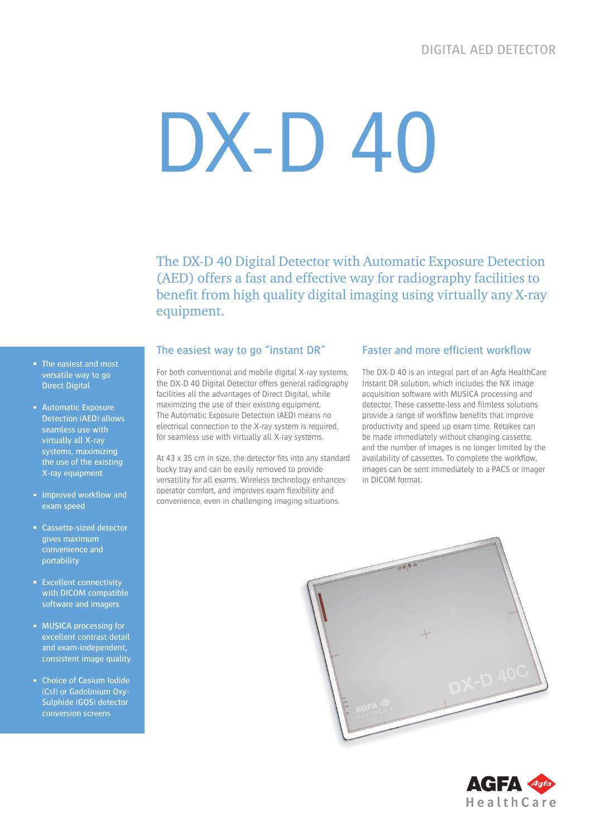# DX-D 40

The DX-D 40 Digital Detector with Automatic Exposure Detection (AED) offers a fast and effective way for radiography facilities to benefit from high quality digital imaging using virtually any X-ray equipment.

- The easiest and most versatile way to go **Direct Digital**
- **Automatic Exposure** Detection (AED) allows seamless use with virtually all X-ray systems, maximizing the use of the existing X-ray equipment
- **Improved workflow and** exam speed
- Cassette-sized detector gives maximum convenience and portability
- **Excellent connectivity** with DICOM compatible software and imagers
- **MUSICA processing for** excellent contrast detail and exam-independent, consistent image quality
- **Choice of Cesium Iodide** (CsI) or Gadolinium Oxy-Sulphide (GOS) detector conversion screens

#### The easiest way to go "instant DR"

For both conventional and mobile digital X-ray systems, the DX-D 40 Digital Detector offers general radiography facilities all the advantages of Direct Digital, while maximizing the use of their existing equipment. The Automatic Exposure Detection (AED) means no electrical connection to the X-ray system is required, for seamless use with virtually all X-ray systems.

At 43 x 35 cm in size, the detector fits into any standard bucky tray and can be easily removed to provide versatility for all exams. Wireless technology enhances operator comfort, and improves exam flexibility and convenience, even in challenging imaging situations.

#### Faster and more efficient workflow

The DX-D 40 is an integral part of an Agfa HealthCare Instant DR solution, which includes the NX image acquisition software with MUSICA processing and detector. These cassette-less and filmless solutions provide a range of workflow benefits that improve productivity and speed up exam time. Retakes can be made immediately without changing cassette, and the number of images is no longer limited by the availability of cassettes. To complete the workflow, images can be sent immediately to a PACS or imager in DICOM format.



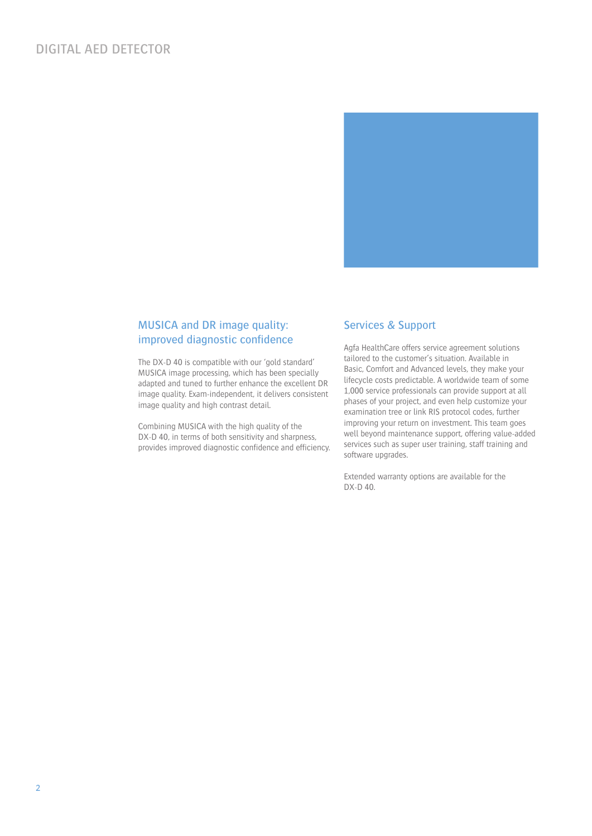# DIGITAL AED DETECTOR



## MUSICA and DR image quality: improved diagnostic confidence

The DX-D 40 is compatible with our 'gold standard' MUSICA image processing, which has been specially adapted and tuned to further enhance the excellent DR image quality. Exam-independent, it delivers consistent image quality and high contrast detail.

Combining MUSICA with the high quality of the DX-D 40, in terms of both sensitivity and sharpness, provides improved diagnostic confidence and efficiency.

#### Services & Support

Agfa HealthCare offers service agreement solutions tailored to the customer's situation. Available in Basic, Comfort and Advanced levels, they make your lifecycle costs predictable. A worldwide team of some 1,000 service professionals can provide support at all phases of your project, and even help customize your examination tree or link RIS protocol codes, further improving your return on investment. This team goes well beyond maintenance support, offering value-added services such as super user training, staff training and software upgrades.

Extended warranty options are available for the DX-D 40.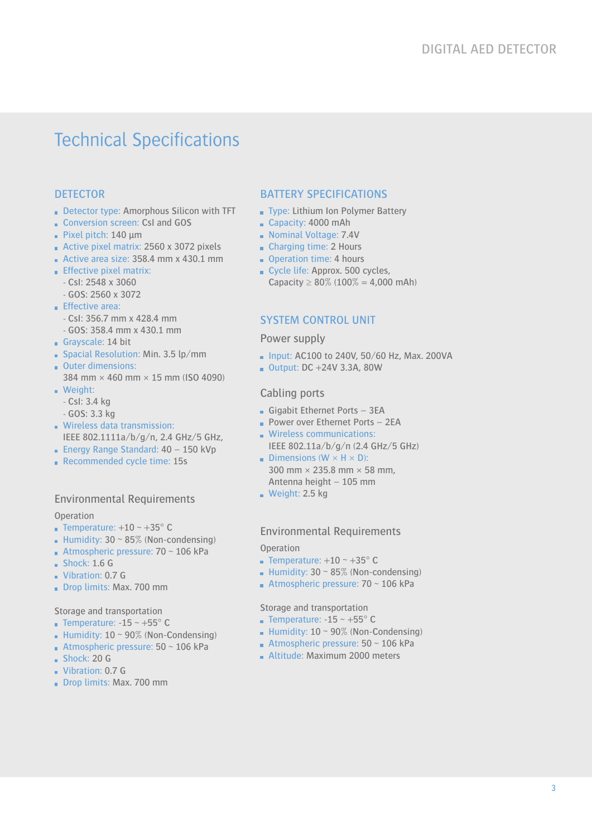# Technical Specifications

# **DETECTOR**

- Detector type: Amorphous Silicon with TFT
- Conversion screen: CsI and GOS
- Pixel pitch: 140 μm
- Active pixel matrix: 2560 x 3072 pixels
- Active area size: 358.4 mm x 430.1 mm
- $E$  Effective pixel matrix:
	- CsI: 2548 x 3060
- GOS: 2560 x 3072
- **Effective area:** 
	- CsI: 356.7 mm x 428.4 mm
- GOS: 358.4 mm x 430.1 mm
- Grayscale: 14 bit
- Spacial Resolution: Min. 3.5 lp/mm
- Outer dimensions: 384 mm × 460 mm × 15 mm (ISO 4090)
- **Weight:** 
	- CsI: 3.4 kg
	- GOS: 3.3 kg
- **Wireless data transmission:** IEEE 802.1111a/b/g/n, 2.4 GHz/5 GHz,
- **Energy Range Standard: 40 150 kVp**
- Recommended cycle time: 15s

## Environmental Requirements

#### Operation

- **Temperature:**  $+10 \sim +35^{\circ}$  C
- **Humidity: 30 ~ 85% (Non-condensing)**
- **Atmospheric pressure: 70**  $\sim$  **106 kPa**
- $Shock: 1.6 G$
- Vibration: 0.7 G
- Drop limits: Max. 700 mm

Storage and transportation

- **Temperature: -15 ~ +55° C**
- Humidity:  $10 \sim 90\%$  (Non-Condensing)
- **Atmospheric pressure: 50**  $\sim$  **106 kPa**
- $Shock: 20 G$
- Vibration: 0.7 G
- Drop limits: Max. 700 mm

#### BATTERY SPECIFICATIONS

- Type: Lithium Ion Polymer Battery
- Capacity: 4000 mAh
- Nominal Voltage: 7.4V
- Charging time: 2 Hours
- Operation time: 4 hours
- Cycle life: Approx. 500 cycles, Capacity  $\geq 80\%$  (100% = 4,000 mAh)

## SYSTEM CONTROL UNIT

#### Power supply

- $\blacksquare$  Input: AC100 to 240V, 50/60 Hz, Max, 200VA
- Output:  $DC + 24V$  3.3A, 80W

#### Cabling ports

- Gigabit Ethernet Ports 3EA
- **Power over Ethernet Ports 2EA**
- **Wireless communications:** IEEE 802.11a/b/g/n (2.4 GHz/5 GHz)
- Dimensions ( $W \times H \times D$ ): 300 mm × 235.8 mm × 58 mm, Antenna height – 105 mm
- Weight: 2.5 kg

#### Environmental Requirements

#### **Operation**

- **Temperature:**  $+10 \sim +35^{\circ}$  C
- Humidity:  $30 \sim 85\%$  (Non-condensing)
- Atmospheric pressure:  $70 \sim 106$  kPa

Storage and transportation

- **Temperature: -15 ~ +55° C**
- Humidity:  $10 \sim 90\%$  (Non-Condensing)
- **Atmospheric pressure: 50**  $\sim$  **106 kPa**
- **Altitude: Maximum 2000 meters**